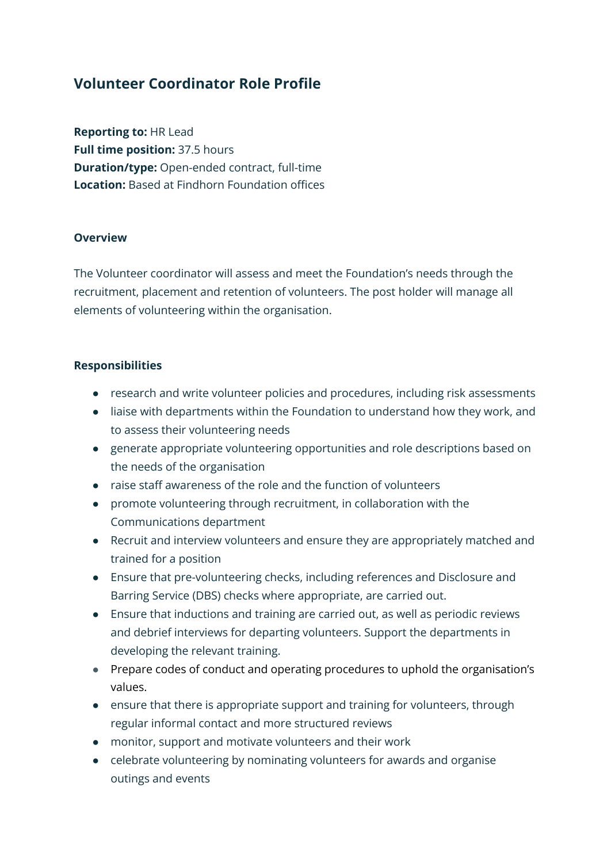## **Volunteer Coordinator Role Profile**

**Reporting to:** HR Lead **Full time position:** 37.5 hours **Duration/type:** Open-ended contract, full-time **Location:** Based at Findhorn Foundation offices

## **Overview**

The Volunteer coordinator will assess and meet the Foundation's needs through the recruitment, placement and retention of volunteers. The post holder will manage all elements of volunteering within the organisation.

## **Responsibilities**

- research and write volunteer policies and procedures, including risk assessments
- liaise with departments within the Foundation to understand how they work, and to assess their volunteering needs
- generate appropriate volunteering opportunities and role descriptions based on the needs of the organisation
- raise staff awareness of the role and the function of volunteers
- promote volunteering through recruitment, in collaboration with the Communications department
- Recruit and interview volunteers and ensure they are appropriately matched and trained for a position
- Ensure that pre-volunteering checks, including references and Disclosure and Barring Service (DBS) checks where appropriate, are carried out.
- Ensure that inductions and training are carried out, as well as periodic reviews and debrief interviews for departing volunteers. Support the departments in developing the relevant training.
- Prepare codes of conduct and operating procedures to uphold the organisation's values.
- ensure that there is appropriate support and training for volunteers, through regular informal contact and more structured reviews
- monitor, support and motivate volunteers and their work
- celebrate volunteering by nominating volunteers for awards and organise outings and events